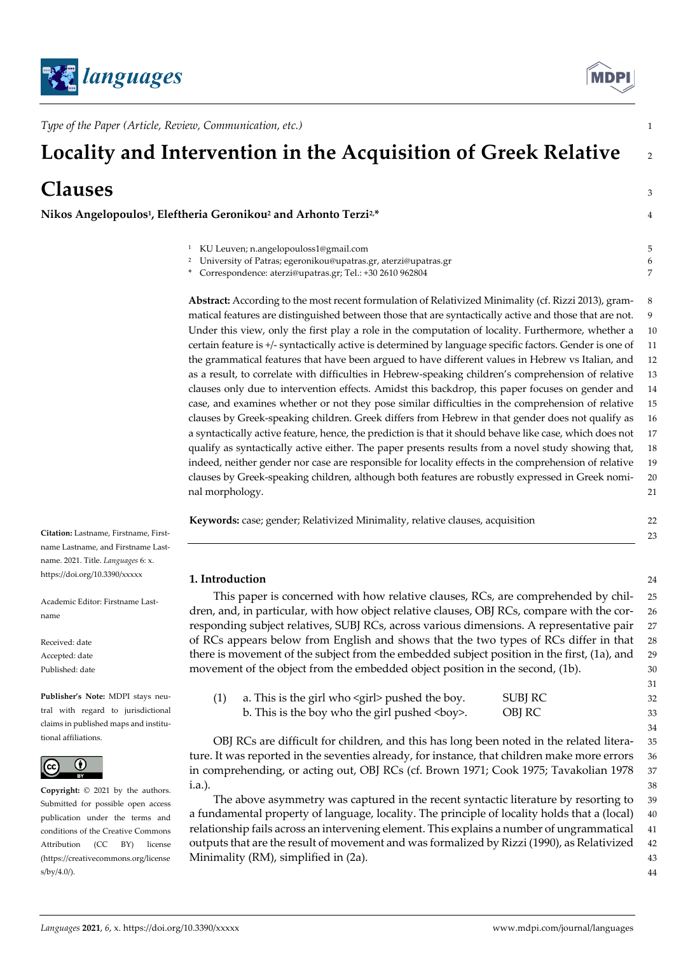



31

34

44

*Type of the Paper (Article, Review, Communication, etc.)* 1

# **Locality and Intervention in the Acquisition of Greek Relative** <sup>2</sup>

# **Clauses** 3

**Nikos Angelopoulos1, Eleftheria Geronikou2 and Arhonto Terzi2,\*** 4

| KU Leuven; n.angelopouloss1@gmail.com                                       |  |
|-----------------------------------------------------------------------------|--|
| <sup>2</sup> University of Patras; egeronikou@upatras.gr, aterzi@upatras.gr |  |

\* Correspondence: aterzi@upatras.gr; Tel.: +30 2610 962804 7

**Abstract:** According to the most recent formulation of Relativized Minimality (cf. Rizzi 2013), gram- 8 matical features are distinguished between those that are syntactically active and those that are not. 9 Under this view, only the first play a role in the computation of locality. Furthermore, whether a 10 certain feature is +/- syntactically active is determined by language specific factors. Gender is one of 11 the grammatical features that have been argued to have different values in Hebrew vs Italian, and 12 as a result, to correlate with difficulties in Hebrew-speaking children's comprehension of relative 13 clauses only due to intervention effects. Amidst this backdrop, this paper focuses on gender and 14 case, and examines whether or not they pose similar difficulties in the comprehension of relative 15 clauses by Greek-speaking children. Greek differs from Hebrew in that gender does not qualify as 16 a syntactically active feature, hence, the prediction is that it should behave like case, which does not 17 qualify as syntactically active either. The paper presents results from a novel study showing that, 18 indeed, neither gender nor case are responsible for locality effects in the comprehension of relative 19 clauses by Greek-speaking children, although both features are robustly expressed in Greek nomi- 20 nal morphology. 21

**Keywords:** case; gender; Relativized Minimality, relative clauses, acquisition 22

**1. Introduction** 24

This paper is concerned with how relative clauses, RCs, are comprehended by chil- 25 dren, and, in particular, with how object relative clauses, OBJ RCs, compare with the cor- 26 responding subject relatives, SUBJ RCs, across various dimensions. A representative pair 27 of RCs appears below from English and shows that the two types of RCs differ in that 28 there is movement of the subject from the embedded subject position in the first, (1a), and 29 movement of the object from the embedded object position in the second, (1b).  $\qquad \qquad$  30

(1) a. This is the girl who  $\langle \text{girl}\rangle$  pushed the boy. SUBJ RC 32 b. This is the boy who the girl pushed <br/> \, OBJ RC 33

OBJ RCs are difficult for children, and this has long been noted in the related litera- 35 ture. It was reported in the seventies already, for instance, that children make more errors 36 in comprehending, or acting out, OBJ RCs (cf. Brown 1971; Cook 1975; Tavakolian 1978 37 i.a.). 38

The above asymmetry was captured in the recent syntactic literature by resorting to 39 a fundamental property of language, locality. The principle of locality holds that a (local) 40 relationship fails across an intervening element. This explains a number of ungrammatical 41 outputs that are the result of movement and was formalized by Rizzi (1990), as Relativized 42 Minimality (RM), simplified in (2a).  $\blacksquare$  43

name Lastname, and Firstname Lastname. 2021. Title. *Languages* 6: x. https://doi.org/10.3390/xxxxx

**Citation:** Lastname, Firstname, First-

Academic Editor: Firstname Lastname

Received: date Accepted: date Published: date

**Publisher's Note:** MDPI stays neutral with regard to jurisdictional claims in published maps and institutional affiliations.



**Copyright:** © 2021 by the authors. Submitted for possible open access publication under the terms and conditions of the Creative Commons Attribution (CC BY) license (https://creativecommons.org/license s/by/4.0/).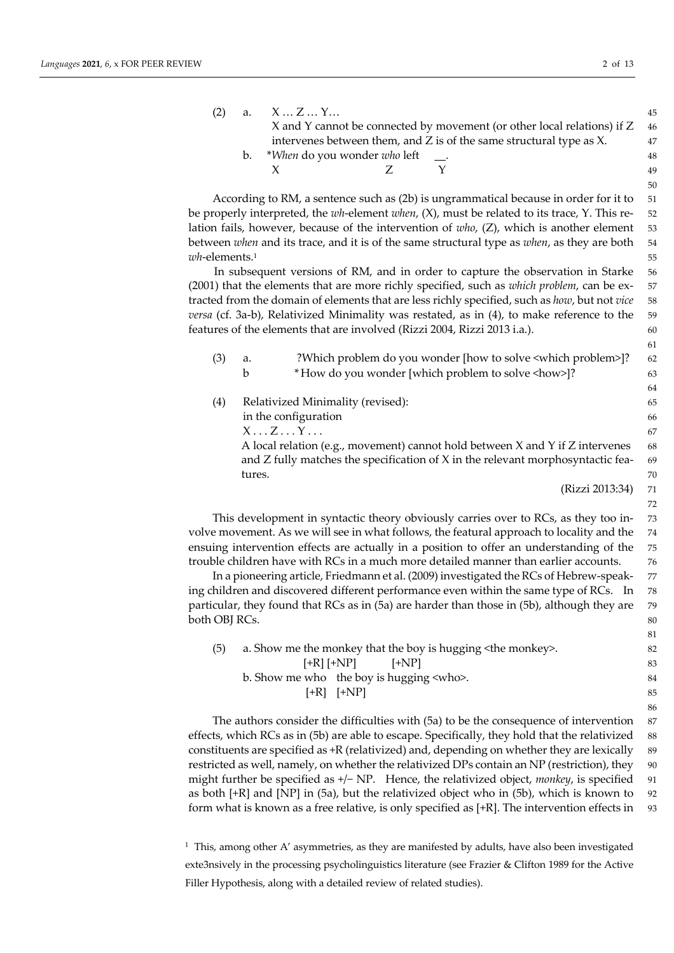61

81

86

| (2) | a. XZY                          |                                                                          | 45   |
|-----|---------------------------------|--------------------------------------------------------------------------|------|
|     |                                 | X and Y cannot be connected by movement (or other local relations) if Z  | - 46 |
|     |                                 | intervenes between them, and $Z$ is of the same structural type as $X$ . | 47   |
|     | b. *When do you wonder who left | $\sim$ 100 $\sim$                                                        | 48   |
|     |                                 |                                                                          | 49   |

According to RM, a sentence such as (2b) is ungrammatical because in order for it to 51 be properly interpreted, the *wh*-element *when*, (X), must be related to its trace, Y. This re- 52 lation fails, however, because of the intervention of *who*, (Z), which is another element 53 between *when* and its trace, and it is of the same structural type as *when*, as they are both 54 *wh*-elements.<sup>1</sup> 55

In subsequent versions of RM, and in order to capture the observation in Starke 56 (2001) that the elements that are more richly specified, such as *which problem*, can be ex- 57 tracted from the domain of elements that are less richly specified, such as *how*, but not *vice* 58 *versa* (cf. 3a-b), Relativized Minimality was restated, as in (4), to make reference to the 59 features of the elements that are involved (Rizzi 2004, Rizzi 2013 i.a.). 60

| (3) | a.     | ?Which problem do you wonder [how to solve <which problem="">]?</which>             | 62 |
|-----|--------|-------------------------------------------------------------------------------------|----|
|     | b      | *How do you wonder [which problem to solve <how>]?</how>                            | 63 |
|     |        |                                                                                     | 64 |
| (4) |        | Relativized Minimality (revised):                                                   | 65 |
|     |        | in the configuration                                                                | 66 |
|     |        | $X \dots Z \dots Y \dots$                                                           | 67 |
|     |        | A local relation (e.g., movement) cannot hold between $X$ and $Y$ if $Z$ intervenes | 68 |
|     |        | and Z fully matches the specification of X in the relevant morphosyntactic fea-     | 69 |
|     | tures. |                                                                                     | 70 |
|     |        | (Rizzi 2013:34)                                                                     | 71 |
|     |        |                                                                                     | 72 |

This development in syntactic theory obviously carries over to RCs, as they too in- 73 volve movement. As we will see in what follows, the featural approach to locality and the 74 ensuing intervention effects are actually in a position to offer an understanding of the 75 trouble children have with RCs in a much more detailed manner than earlier accounts. 76

In a pioneering article, Friedmann et al. (2009) investigated the RCs of Hebrew-speak- 77 ing children and discovered different performance even within the same type of RCs. In 78 particular, they found that RCs as in (5a) are harder than those in (5b), although they are 79 both OBJ RCs. 80

| (5) | a. Show me the monkey that the boy is hugging < the monkey >. | 82 |
|-----|---------------------------------------------------------------|----|
|     | $[+R]$ $[+NP]$ $[+NP]$                                        | 83 |
|     | b. Show me who the boy is hugging <who>.</who>                | 84 |
|     | $[+R]$ $[+NP]$                                                | 85 |
|     |                                                               |    |

The authors consider the difficulties with (5a) to be the consequence of intervention 87 effects, which RCs as in (5b) are able to escape. Specifically, they hold that the relativized 88 constituents are specified as +R (relativized) and, depending on whether they are lexically 89 restricted as well, namely, on whether the relativized DPs contain an NP (restriction), they 90 might further be specified as +/− NP. Hence, the relativized object, *monkey*, is specified 91 as both  $[+R]$  and  $[NP]$  in (5a), but the relativized object who in (5b), which is known to 92 form what is known as a free relative, is only specified as [+R]. The intervention effects in 93

 $1$  This, among other A' asymmetries, as they are manifested by adults, have also been investigated exte3nsively in the processing psycholinguistics literature (see Frazier & Clifton 1989 for the Active Filler Hypothesis, along with a detailed review of related studies).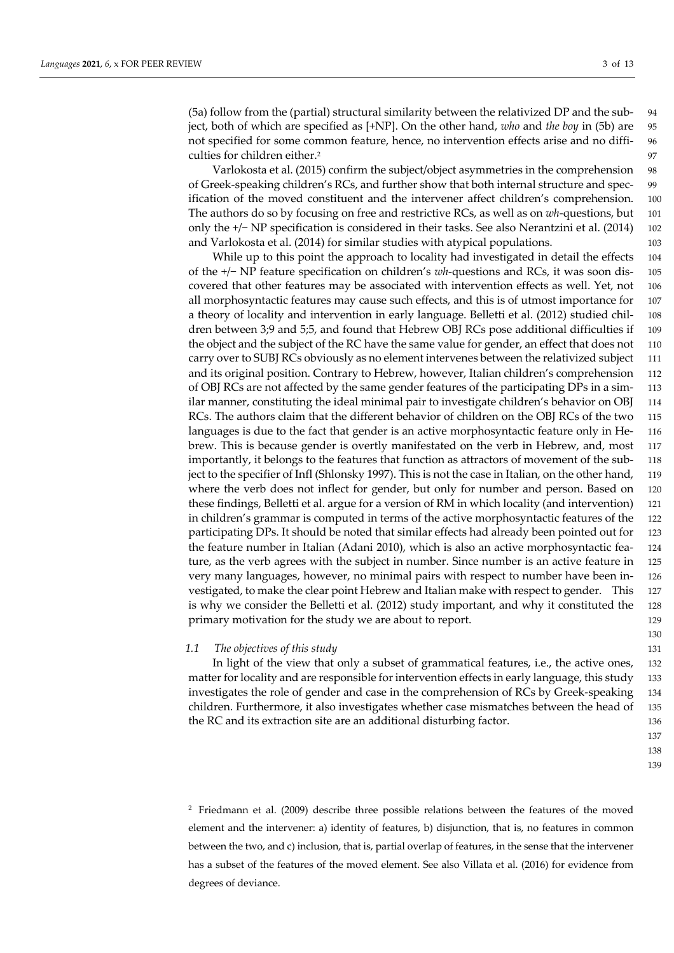(5a) follow from the (partial) structural similarity between the relativized DP and the sub- 94 ject, both of which are specified as [+NP]. On the other hand, *who* and *the boy* in (5b) are 95 not specified for some common feature, hence, no intervention effects arise and no diffi- 96 culties for children either.<sup>2</sup> 97

Varlokosta et al. (2015) confirm the subject/object asymmetries in the comprehension 98 of Greek-speaking children's RCs, and further show that both internal structure and spec- 99 ification of the moved constituent and the intervener affect children's comprehension. 100 The authors do so by focusing on free and restrictive RCs, as well as on *wh*-questions, but 101 only the +/− NP specification is considered in their tasks. See also Nerantzini et al. (2014) 102 and Varlokosta et al. (2014) for similar studies with atypical populations. 103

While up to this point the approach to locality had investigated in detail the effects 104 of the +/− NP feature specification on children's *wh*-questions and RCs, it was soon dis- 105 covered that other features may be associated with intervention effects as well. Yet, not 106 all morphosyntactic features may cause such effects, and this is of utmost importance for 107 a theory of locality and intervention in early language. Belletti et al. (2012) studied chil- 108 dren between 3;9 and 5;5, and found that Hebrew OBJ RCs pose additional difficulties if 109 the object and the subject of the RC have the same value for gender, an effect that does not 110 carry over to SUBJ RCs obviously as no element intervenes between the relativized subject 111 and its original position. Contrary to Hebrew, however, Italian children's comprehension 112 of OBJ RCs are not affected by the same gender features of the participating DPs in a sim- 113 ilar manner, constituting the ideal minimal pair to investigate children's behavior on OBJ 114 RCs. The authors claim that the different behavior of children on the OBJ RCs of the two 115 languages is due to the fact that gender is an active morphosyntactic feature only in He- 116 brew. This is because gender is overtly manifestated on the verb in Hebrew, and, most 117 importantly, it belongs to the features that function as attractors of movement of the sub- 118 ject to the specifier of Infl (Shlonsky 1997). This is not the case in Italian, on the other hand, 119 where the verb does not inflect for gender, but only for number and person. Based on 120 these findings, Belletti et al. argue for a version of RM in which locality (and intervention) 121 in children's grammar is computed in terms of the active morphosyntactic features of the 122 participating DPs. It should be noted that similar effects had already been pointed out for 123 the feature number in Italian (Adani 2010), which is also an active morphosyntactic fea- 124 ture, as the verb agrees with the subject in number. Since number is an active feature in 125 very many languages, however, no minimal pairs with respect to number have been in- 126 vestigated, to make the clear point Hebrew and Italian make with respect to gender. This 127 is why we consider the Belletti et al. (2012) study important, and why it constituted the 128 primary motivation for the study we are about to report. 129

# *1.1 The objectives of this study* 131

In light of the view that only a subset of grammatical features, i.e., the active ones, 132 matter for locality and are responsible for intervention effects in early language, this study 133 investigates the role of gender and case in the comprehension of RCs by Greek-speaking 134 children. Furthermore, it also investigates whether case mismatches between the head of 135 the RC and its extraction site are an additional disturbing factor. 136

130

138

139

<sup>2</sup> Friedmann et al. (2009) describe three possible relations between the features of the moved element and the intervener: a) identity of features, b) disjunction, that is, no features in common between the two, and c) inclusion, that is, partial overlap of features, in the sense that the intervener has a subset of the features of the moved element. See also Villata et al. (2016) for evidence from degrees of deviance.

<sup>137</sup>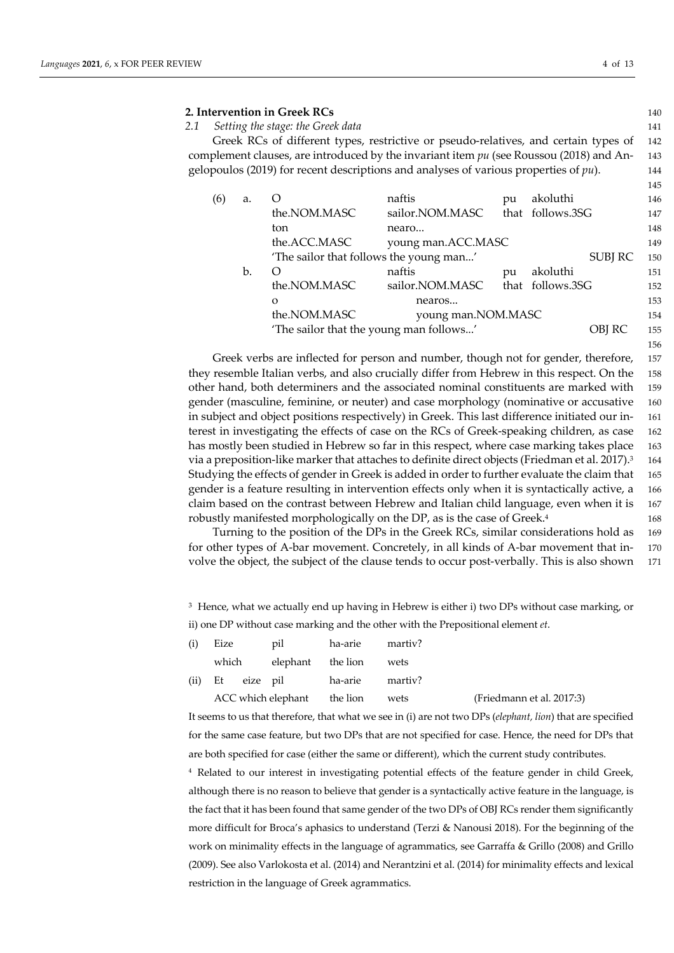# **2. Intervention in Greek RCs** 140

*2.1 Setting the stage: the Greek data* 141 Greek RCs of different types, restrictive or pseudo-relatives, and certain types of 142 complement clauses, are introduced by the invariant item *pu* (see Roussou (2018) and An- 143 gelopoulos (2019) for recent descriptions and analyses of various properties of *pu*). 144 145

| (6) | a. |                                                           | naftis                                  | pu | akoluthi         | 146 |
|-----|----|-----------------------------------------------------------|-----------------------------------------|----|------------------|-----|
|     |    | the.NOM.MASC                                              | sailor.NOM.MASC                         |    | that follows.3SG | 147 |
|     |    | ton                                                       | nearo                                   |    |                  | 148 |
|     |    | the.ACC.MASC                                              | young man.ACC.MASC                      |    |                  | 149 |
|     |    | 'The sailor that follows the young man'<br><b>SUBJ RC</b> |                                         |    |                  |     |
|     | b. | $\left( \right)$                                          | naftis                                  | pu | akoluthi         | 151 |
|     |    | the.NOM.MASC                                              | sailor.NOM.MASC                         |    | that follows.3SG | 152 |
|     |    | $\Omega$                                                  | nearos                                  |    |                  | 153 |
|     |    | the.NOM.MASC                                              | young man.NOM.MASC                      |    |                  | 154 |
|     |    |                                                           | 'The sailor that the young man follows' |    | OBJ RC           | 155 |
|     |    |                                                           |                                         |    |                  |     |

Greek verbs are inflected for person and number, though not for gender, therefore, 157 they resemble Italian verbs, and also crucially differ from Hebrew in this respect. On the 158 other hand, both determiners and the associated nominal constituents are marked with 159 gender (masculine, feminine, or neuter) and case morphology (nominative or accusative 160 in subject and object positions respectively) in Greek. This last difference initiated our in- 161 terest in investigating the effects of case on the RCs of Greek-speaking children, as case 162 has mostly been studied in Hebrew so far in this respect, where case marking takes place 163 via a preposition-like marker that attaches to definite direct objects (Friedman et al. 2017).<sup>3</sup> 164 Studying the effects of gender in Greek is added in order to further evaluate the claim that 165 gender is a feature resulting in intervention effects only when it is syntactically active, a 166 claim based on the contrast between Hebrew and Italian child language, even when it is 167 robustly manifested morphologically on the DP, as is the case of Greek.<sup>4</sup> 168

Turning to the position of the DPs in the Greek RCs, similar considerations hold as 169 for other types of A-bar movement. Concretely, in all kinds of A-bar movement that in- 170 volve the object, the subject of the clause tends to occur post-verbally. This is also shown 171

<sup>3</sup> Hence, what we actually end up having in Hebrew is either i) two DPs without case marking, or ii) one DP without case marking and the other with the Prepositional element *et*.

| (i) | Eize                        |  | pil ha-arie martiv?              |      |                           |
|-----|-----------------------------|--|----------------------------------|------|---------------------------|
|     | which                       |  | elephant the lion wets           |      |                           |
|     |                             |  | (ii) Et eize pil ha-arie martiv? |      |                           |
|     | ACC which elephant the lion |  |                                  | wets | (Friedmann et al. 2017:3) |

It seems to us that therefore, that what we see in (i) are not two DPs (*elephant, lion*) that are specified for the same case feature, but two DPs that are not specified for case. Hence, the need for DPs that are both specified for case (either the same or different), which the current study contributes.

<sup>4</sup> Related to our interest in investigating potential effects of the feature gender in child Greek, although there is no reason to believe that gender is a syntactically active feature in the language, is the fact that it has been found that same gender of the two DPs of OBJ RCs render them significantly more difficult for Broca's aphasics to understand (Terzi & Nanousi 2018). For the beginning of the work on minimality effects in the language of agrammatics, see Garraffa & Grillo (2008) and Grillo (2009). See also Varlokosta et al. (2014) and Nerantzini et al. (2014) for minimality effects and lexical restriction in the language of Greek agrammatics.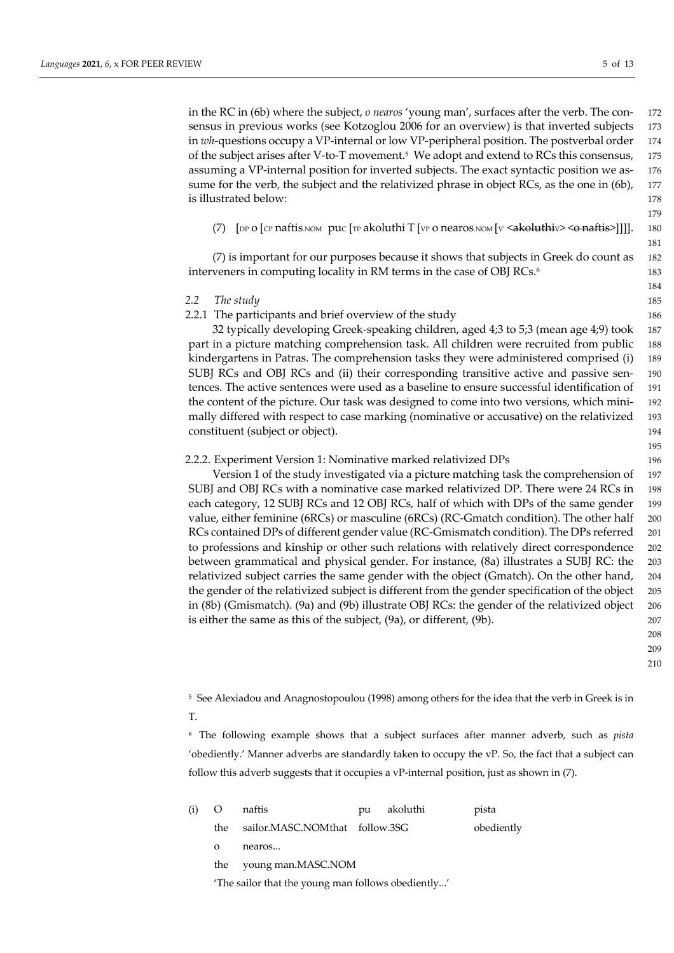in the RC in (6b) where the subject, *o nearos* 'young man', surfaces after the verb. The con- 172 sensus in previous works (see Kotzoglou 2006 for an overview) is that inverted subjects 173 in *wh*-questions occupy a VP-internal or low VP-peripheral position. The postverbal order 174 of the subject arises after V-to-T movement.5 We adopt and extend to RCs this consensus, 175 assuming a VP-internal position for inverted subjects. The exact syntactic position we as- 176 sume for the verb, the subject and the relativized phrase in object RCs, as the one in (6b), 177 is illustrated below: 178

(7)  $[DP O [CP nafti's]$  puc  $[TP a koluthi T] (VP O nearos. \text{NOM} [V' ~~akoluthi~~ V > ~~6 nafti~~ s)]]].$  180

179

(7) is important for our purposes because it shows that subjects in Greek do count as 182 interveners in computing locality in RM terms in the case of OBJ RCs.<sup>6</sup> 183

# *2.2 The study* 185

2.2.1 The participants and brief overview of the study 186

32 typically developing Greek-speaking children, aged 4;3 to 5;3 (mean age 4;9) took 187 part in a picture matching comprehension task. All children were recruited from public 188 kindergartens in Patras. The comprehension tasks they were administered comprised (i) 189 SUBJ RCs and OBJ RCs and (ii) their corresponding transitive active and passive sen- 190 tences. The active sentences were used as a baseline to ensure successful identification of 191 the content of the picture. Our task was designed to come into two versions, which mini- 192 mally differed with respect to case marking (nominative or accusative) on the relativized 193 constituent (subject or object). 194

#### 2.2.2. Experiment Version 1: Nominative marked relativized DPs 196

Version 1 of the study investigated via a picture matching task the comprehension of 197 SUBJ and OBJ RCs with a nominative case marked relativized DP. There were 24 RCs in 198 each category, 12 SUBJ RCs and 12 OBJ RCs, half of which with DPs of the same gender 199 value, either feminine (6RCs) or masculine (6RCs) (RC-Gmatch condition). The other half 200 RCs contained DPs of different gender value (RC-Gmismatch condition). The DPs referred 201 to professions and kinship or other such relations with relatively direct correspondence 202 between grammatical and physical gender. For instance, (8a) illustrates a SUBJ RC: the 203 relativized subject carries the same gender with the object (Gmatch). On the other hand, 204 the gender of the relativized subject is different from the gender specification of the object 205 in (8b) (Gmismatch). (9a) and (9b) illustrate OBJ RCs: the gender of the relativized object 206 is either the same as this of the subject, (9a), or different, (9b). 207

208

209

210

<sup>5</sup> See Alexiadou and Anagnostopoulou (1998) among others for the idea that the verb in Greek is in T.

<sup>6</sup> The following example shows that a subject surfaces after manner adverb, such as *pista* 'obediently.' Manner adverbs are standardly taken to occupy the vP. So, the fact that a subject can follow this adverb suggests that it occupies a vP-internal position, just as shown in (7).

| (i) | O                      | naftis                                             | pu | akoluthi | pista      |
|-----|------------------------|----------------------------------------------------|----|----------|------------|
|     | the                    | sailor.MASC.NOMthat follow.3SG                     |    |          | obediently |
|     | $\Omega$               | nearos                                             |    |          |            |
|     | the young man.MASC.NOM |                                                    |    |          |            |
|     |                        | 'The sailor that the young man follows obediently' |    |          |            |

181

184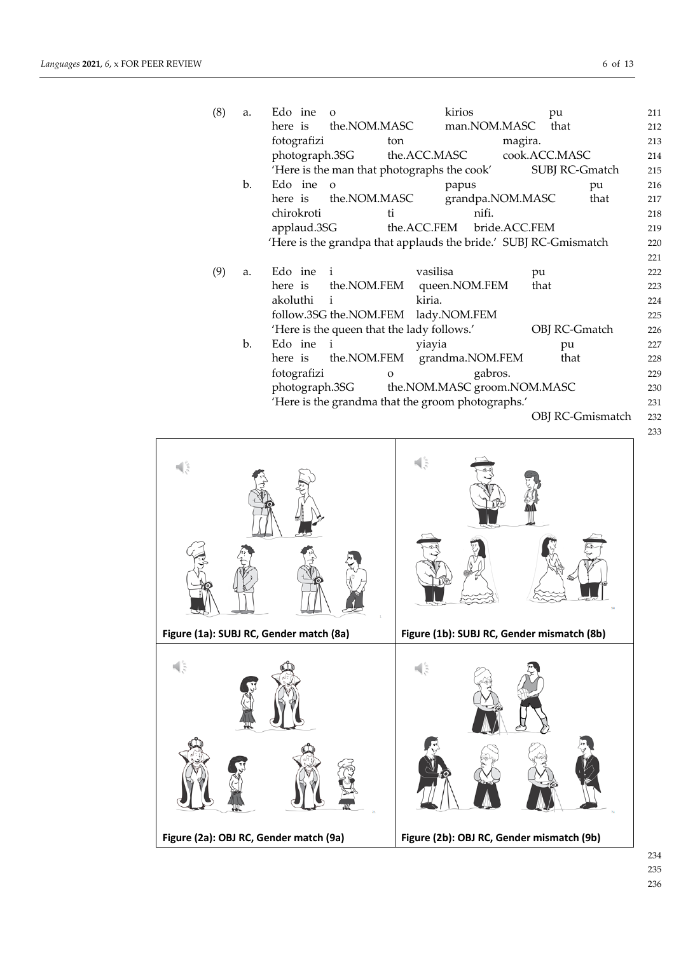| (8) | a. | Edo ine<br>$\Omega$     |                                                                  | kirios                      | pu                      | 211 |
|-----|----|-------------------------|------------------------------------------------------------------|-----------------------------|-------------------------|-----|
|     |    | here is                 | the.NOM.MASC                                                     | man.NOM.MASC                | that                    | 212 |
|     |    | fotografizi             | ton                                                              | magira.                     |                         | 213 |
|     |    | photograph.3SG          | the.ACC.MASC                                                     |                             | cook.ACC.MASC           | 214 |
|     |    |                         | 'Here is the man that photographs the cook'                      |                             | SUBJ RC-Gmatch          | 215 |
|     | b. | Edo ine<br>$\Omega$     |                                                                  | papus                       | pu                      | 216 |
|     |    | here is the.NOM.MASC    |                                                                  | grandpa.NOM.MASC            | that                    | 217 |
|     |    | chirokroti              | łi.                                                              | nifi.                       |                         | 218 |
|     |    | applaud.3SG             | the.ACC.FEM                                                      | bride.ACC.FEM               |                         | 219 |
|     |    |                         | 'Here is the grandpa that applauds the bride.' SUBJ RC-Gmismatch |                             |                         | 220 |
|     |    |                         |                                                                  |                             |                         | 221 |
| (9) | a. | Edo ine<br>$\mathbf{i}$ | vasilisa                                                         |                             | pu                      | 222 |
|     |    | here is                 | the.NOM.FEM                                                      | queen.NOM.FEM               | that                    | 223 |
|     |    | akoluthi<br>i           | kiria.                                                           |                             |                         | 224 |
|     |    |                         | follow.3SG the.NOM.FEM lady.NOM.FEM                              |                             |                         | 225 |
|     |    |                         | 'Here is the queen that the lady follows.'                       |                             | OBJ RC-Gmatch           | 226 |
|     | b. | Edo ine<br>$\mathbf{i}$ | yiayia                                                           |                             | pu                      | 227 |
|     |    | here is                 | the.NOM.FEM                                                      | grandma.NOM.FEM             | that                    | 228 |
|     |    | fotografizi             | $\mathbf{o}$                                                     | gabros.                     |                         | 229 |
|     |    | photograph.3SG          |                                                                  | the NOM.MASC groom.NOM.MASC |                         | 230 |
|     |    |                         |                                                                  |                             |                         |     |
|     |    |                         | 'Here is the grandma that the groom photographs.'                |                             |                         | 231 |
|     |    |                         |                                                                  |                             | <b>OBJ RC-Gmismatch</b> | 232 |

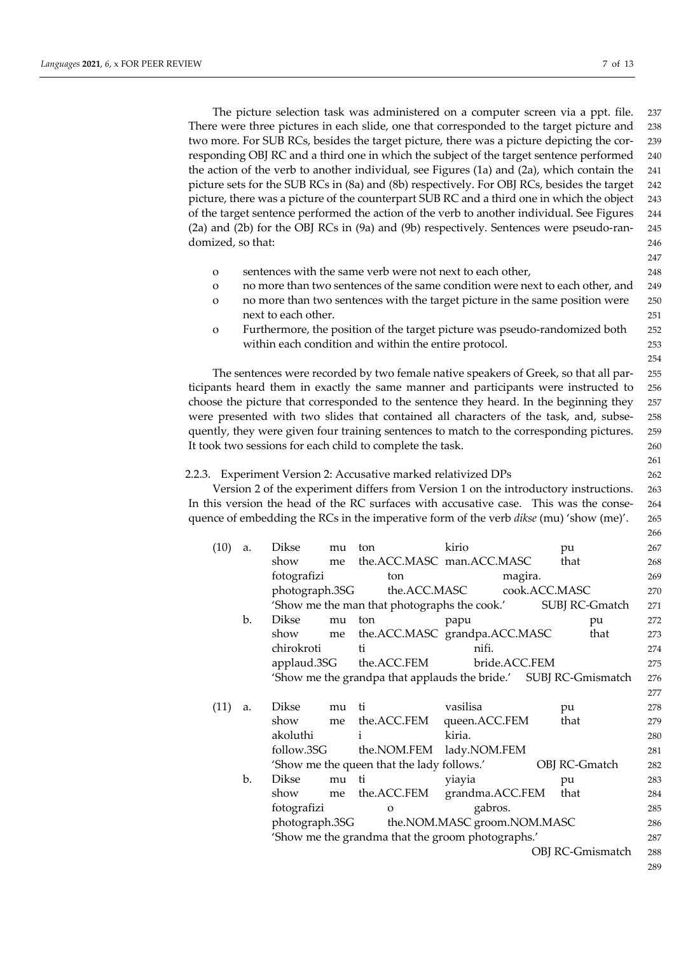The picture selection task was administered on a computer screen via a ppt. file. 237 There were three pictures in each slide, one that corresponded to the target picture and 238 two more. For SUB RCs, besides the target picture, there was a picture depicting the cor- 239 responding OBJ RC and a third one in which the subject of the target sentence performed 240 the action of the verb to another individual, see Figures (1a) and (2a), which contain the 241 picture sets for the SUB RCs in (8a) and (8b) respectively. For OBJ RCs, besides the target 242 picture, there was a picture of the counterpart SUB RC and a third one in which the object 243 of the target sentence performed the action of the verb to another individual. See Figures 244 (2a) and (2b) for the OBJ RCs in (9a) and (9b) respectively. Sentences were pseudo-ran- 245 domized, so that: 246

- o sentences with the same verb were not next to each other, 248
- o no more than two sentences of the same condition were next to each other, and 249
- o no more than two sentences with the target picture in the same position were 250 next to each other. 251
- o Furthermore, the position of the target picture was pseudo-randomized both 252 within each condition and within the entire protocol. 253

The sentences were recorded by two female native speakers of Greek, so that all par- 255 ticipants heard them in exactly the same manner and participants were instructed to 256 choose the picture that corresponded to the sentence they heard. In the beginning they 257 were presented with two slides that contained all characters of the task, and, subse- 258 quently, they were given four training sentences to match to the corresponding pictures. 259 It took two sessions for each child to complete the task. 260

#### 2.2.3. Experiment Version 2: Accusative marked relativized DPs 262

Version 2 of the experiment differs from Version 1 on the introductory instructions. 263 In this version the head of the RC surfaces with accusative case. This was the conse- 264 quence of embedding the RCs in the imperative form of the verb *dikse* (mu) 'show (me)'. 265

| (10) | a. | Dikse          | mu | ton                                                              | kirio                       |               | pu                      | 267 |
|------|----|----------------|----|------------------------------------------------------------------|-----------------------------|---------------|-------------------------|-----|
|      |    | show           | me | the.ACC.MASC man.ACC.MASC                                        |                             |               | that                    | 268 |
|      |    |                |    |                                                                  |                             |               |                         |     |
|      |    | fotografizi    |    | ton                                                              |                             | magira.       |                         | 269 |
|      |    | photograph.3SG |    |                                                                  | the.ACC.MASC                | cook.ACC.MASC |                         | 270 |
|      |    |                |    | 'Show me the man that photographs the cook.'                     |                             |               | SUBJ RC-Gmatch          | 271 |
|      | b. | Dikse          | mu | ton                                                              | papu                        |               | pu                      | 272 |
|      |    | show           | me | the.ACC.MASC grandpa.ACC.MASC                                    |                             |               | that                    | 273 |
|      |    | chirokroti     |    | ti.                                                              | nifi.                       |               |                         | 274 |
|      |    | applaud.3SG    |    | the.ACC.FEM                                                      | bride.ACC.FEM               |               |                         | 275 |
|      |    |                |    | 'Show me the grandpa that applauds the bride.' SUBJ RC-Gmismatch |                             |               |                         | 276 |
|      |    |                |    |                                                                  |                             |               |                         | 277 |
| (11) | a. | <b>Dikse</b>   | mu | ti.                                                              | vasilisa                    |               | pu                      | 278 |
|      |    | show           | me | the.ACC.FEM                                                      | queen.ACC.FEM               |               | that                    | 279 |
|      |    | akoluthi       |    | i                                                                | kiria.                      |               |                         | 280 |
|      |    | follow.3SG     |    | the.NOM.FEM                                                      | lady.NOM.FEM                |               |                         | 281 |
|      |    |                |    | 'Show me the queen that the lady follows.'                       |                             |               | OBJ RC-Gmatch           | 282 |
|      | b. | Dikse          | mu | ti                                                               | yiayia                      |               | pu                      | 283 |
|      |    | show           | me | the.ACC.FEM                                                      | grandma.ACC.FEM             |               | that                    | 284 |
|      |    | fotografizi    |    | $\Omega$                                                         | gabros.                     |               |                         | 285 |
|      |    | photograph.3SG |    |                                                                  | the NOM.MASC groom.NOM.MASC |               |                         | 286 |
|      |    |                |    | 'Show me the grandma that the groom photographs.'                |                             |               |                         | 287 |
|      |    |                |    |                                                                  |                             |               | <b>OBJ RC-Gmismatch</b> | 288 |
|      |    |                |    |                                                                  |                             |               |                         |     |

 $247$ 

254

261

266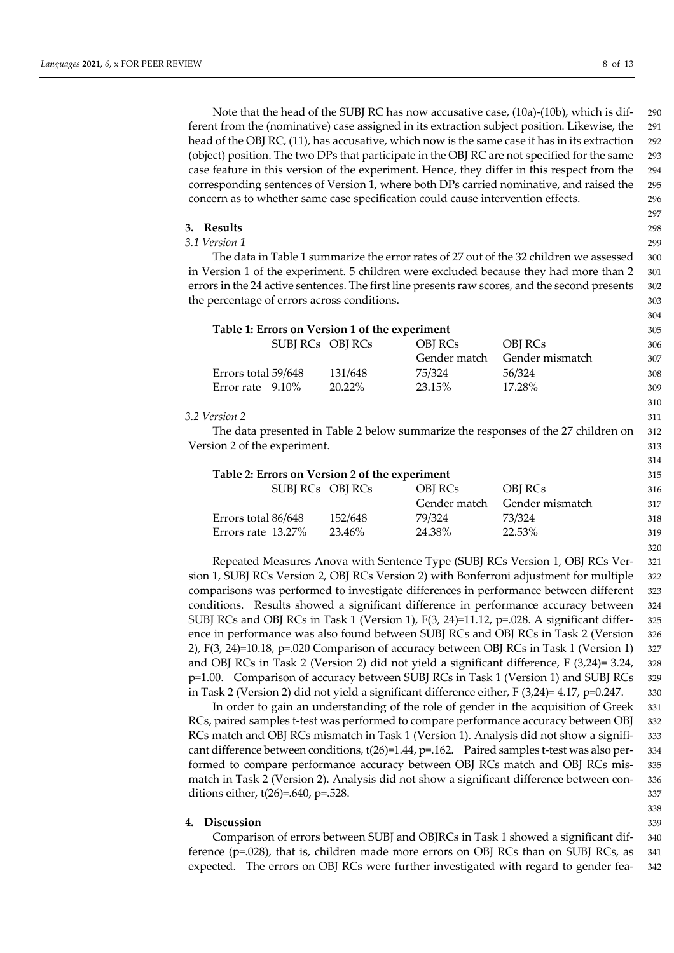Note that the head of the SUBJ RC has now accusative case, (10a)-(10b), which is dif- 290 ferent from the (nominative) case assigned in its extraction subject position. Likewise, the 291 head of the OBJ RC, (11), has accusative, which now is the same case it has in its extraction 292 (object) position. The two DPs that participate in the OBJ RC are not specified for the same 293 case feature in this version of the experiment. Hence, they differ in this respect from the 294 corresponding sentences of Version 1, where both DPs carried nominative, and raised the 295 concern as to whether same case specification could cause intervention effects. 296

- 297
- 

304

310

314

320

**3. Results** 298

*3.1 Version 1* 299

The data in Table 1 summarize the error rates of 27 out of the 32 children we assessed 300 in Version 1 of the experiment. 5 children were excluded because they had more than 2 301 errors in the 24 active sentences. The first line presents raw scores, and the second presents 302 the percentage of errors across conditions. 303

| Table 1: Errors on Version 1 of the experiment |           |              |                 |     |  |
|------------------------------------------------|-----------|--------------|-----------------|-----|--|
| SUBJ RCs OBJ RCs                               |           | OBI RCs      | OBI RCs         | 306 |  |
|                                                |           | Gender match | Gender mismatch | 307 |  |
| Errors total 59/648                            | 131/648   | 75/324       | 56/324          | 308 |  |
| Error rate $9.10\%$                            | $20.22\%$ | 23.15%       | 17.28%          | 309 |  |

#### *3.2 Version 2* 311

The data presented in Table 2 below summarize the responses of the 27 children on 312 Version 2 of the experiment. 313

| Table 2: Errors on Version 2 of the experiment |         |              |                 |     |  |  |
|------------------------------------------------|---------|--------------|-----------------|-----|--|--|
| SUBJ RCs OBJ RCs                               |         | OBI RCs      | OBI RCs         | 316 |  |  |
|                                                |         | Gender match | Gender mismatch | 317 |  |  |
| Errors total 86/648                            | 152/648 | 79/324       | 73/324          | 318 |  |  |
| Errors rate 13.27%                             | 23.46%  | 24.38%       | 22.53%          | 319 |  |  |

Repeated Measures Anova with Sentence Type (SUBJ RCs Version 1, OBJ RCs Ver- 321 sion 1, SUBJ RCs Version 2, OBJ RCs Version 2) with Bonferroni adjustment for multiple 322 comparisons was performed to investigate differences in performance between different 323 conditions. Results showed a significant difference in performance accuracy between 324 SUBJ RCs and OBJ RCs in Task 1 (Version 1), F(3, 24)=11.12, p=.028. A significant differ- 325 ence in performance was also found between SUBJ RCs and OBJ RCs in Task 2 (Version 326 2), F(3, 24)=10.18, p=.020 Comparison of accuracy between OBJ RCs in Task 1 (Version 1) 327 and OBJ RCs in Task 2 (Version 2) did not yield a significant difference, F (3,24)= 3.24, 328 p=1.00. Comparison of accuracy between SUBJ RCs in Task 1 (Version 1) and SUBJ RCs 329 in Task 2 (Version 2) did not yield a significant difference either,  $F(3,24)=4.17$ ,  $p=0.247$ . 330

In order to gain an understanding of the role of gender in the acquisition of Greek 331 RCs, paired samples t-test was performed to compare performance accuracy between OBJ 332 RCs match and OBJ RCs mismatch in Task 1 (Version 1). Analysis did not show a signifi- 333 cant difference between conditions, t(26)=1.44, p=.162. Paired samples t-test was also per- 334 formed to compare performance accuracy between OBJ RCs match and OBJ RCs mis- 335 match in Task 2 (Version 2). Analysis did not show a significant difference between con- 336 ditions either,  $t(26)=640$ ,  $p=.528$ . 337

# **4. Discussion** 339

Comparison of errors between SUBJ and OBJRCs in Task 1 showed a significant dif- 340 ference (p=.028), that is, children made more errors on OBJ RCs than on SUBJ RCs, as 341 expected. The errors on OBJ RCs were further investigated with regard to gender fea- 342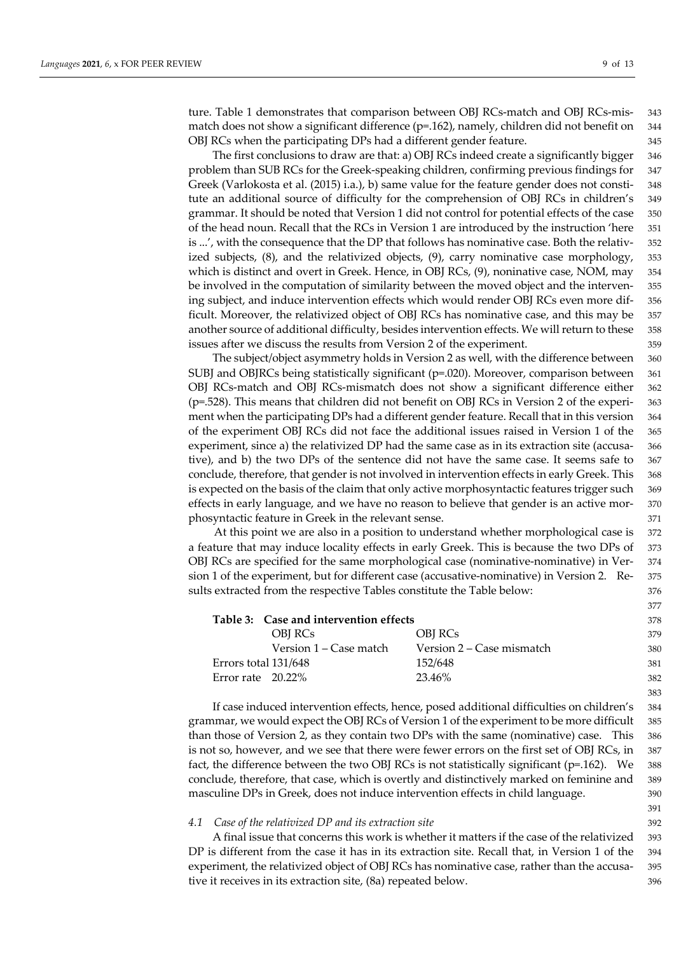ture. Table 1 demonstrates that comparison between OBJ RCs-match and OBJ RCs-mis- 343 match does not show a significant difference  $(p=162)$ , namely, children did not benefit on 344 OBJ RCs when the participating DPs had a different gender feature. 345

The first conclusions to draw are that: a) OBJ RCs indeed create a significantly bigger 346 problem than SUB RCs for the Greek-speaking children, confirming previous findings for 347 Greek (Varlokosta et al. (2015) i.a.), b) same value for the feature gender does not consti- 348 tute an additional source of difficulty for the comprehension of OBJ RCs in children's 349 grammar. It should be noted that Version 1 did not control for potential effects of the case 350 of the head noun. Recall that the RCs in Version 1 are introduced by the instruction 'here 351 is ...', with the consequence that the DP that follows has nominative case. Both the relativ- 352 ized subjects, (8), and the relativized objects, (9), carry nominative case morphology, 353 which is distinct and overt in Greek. Hence, in OBJ RCs, (9), noninative case, NOM, may 354 be involved in the computation of similarity between the moved object and the interven- 355 ing subject, and induce intervention effects which would render OBJ RCs even more dif- 356 ficult. Moreover, the relativized object of OBJ RCs has nominative case, and this may be 357 another source of additional difficulty, besides intervention effects. We will return to these 358 issues after we discuss the results from Version 2 of the experiment. 359

The subject/object asymmetry holds in Version 2 as well, with the difference between 360 SUBJ and OBJRCs being statistically significant (p=.020). Moreover, comparison between 361 OBJ RCs-match and OBJ RCs-mismatch does not show a significant difference either 362 (p=.528). This means that children did not benefit on OBJ RCs in Version 2 of the experi- 363 ment when the participating DPs had a different gender feature. Recall that in this version 364 of the experiment OBJ RCs did not face the additional issues raised in Version 1 of the 365 experiment, since a) the relativized DP had the same case as in its extraction site (accusa- 366 tive), and b) the two DPs of the sentence did not have the same case. It seems safe to 367 conclude, therefore, that gender is not involved in intervention effects in early Greek. This 368 is expected on the basis of the claim that only active morphosyntactic features trigger such 369 effects in early language, and we have no reason to believe that gender is an active mor- 370 phosyntactic feature in Greek in the relevant sense. 371

At this point we are also in a position to understand whether morphological case is 372 a feature that may induce locality effects in early Greek. This is because the two DPs of 373 OBJ RCs are specified for the same morphological case (nominative-nominative) in Ver- 374 sion 1 of the experiment, but for different case (accusative-nominative) in Version 2. Re- 375 sults extracted from the respective Tables constitute the Table below: 376

|                      | Table 3: Case and intervention effects |                           | 378 |
|----------------------|----------------------------------------|---------------------------|-----|
|                      | OBI RCs                                | OBI RCs                   | 379 |
|                      | Version 1 – Case match                 | Version 2 – Case mismatch | 380 |
| Errors total 131/648 |                                        | 152/648                   | 381 |
| Error rate $20.22\%$ |                                        | 23.46%                    | 382 |
|                      |                                        |                           | 383 |

If case induced intervention effects, hence, posed additional difficulties on children's 384 grammar, we would expect the OBJ RCs of Version 1 of the experiment to be more difficult 385 than those of Version 2, as they contain two DPs with the same (nominative) case. This 386 is not so, however, and we see that there were fewer errors on the first set of OBJ RCs, in 387 fact, the difference between the two OBJ RCs is not statistically significant ( $p=162$ ). We 388 conclude, therefore, that case, which is overtly and distinctively marked on feminine and 389 masculine DPs in Greek, does not induce intervention effects in child language. 390

# *4.1 Case of the relativized DP and its extraction site* 392

A final issue that concerns this work is whether it matters if the case of the relativized 393 DP is different from the case it has in its extraction site. Recall that, in Version 1 of the 394 experiment, the relativized object of OBJ RCs has nominative case, rather than the accusa- 395 tive it receives in its extraction site, (8a) repeated below. 396

391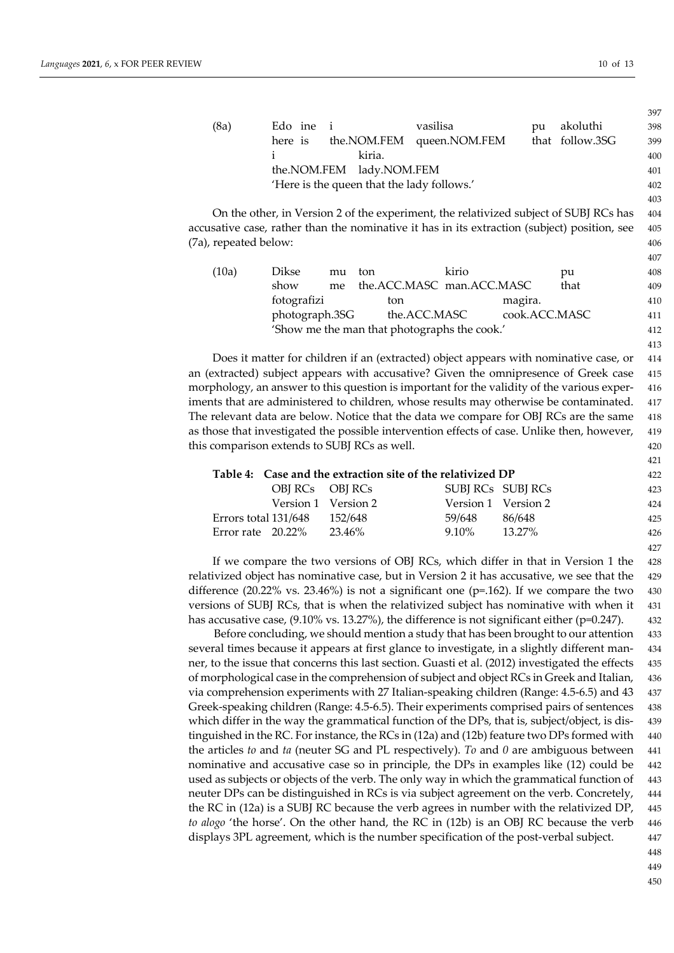407

413

421

427

|  |      |                          |                                            |                           |    |                 | $\sim$ $\sim$ $\sim$ |  |
|--|------|--------------------------|--------------------------------------------|---------------------------|----|-----------------|----------------------|--|
|  | (8a) | Edo ine i                |                                            | vasilisa                  | pu | akoluthi        | 398                  |  |
|  |      | here is                  |                                            | the.NOM.FEM queen.NOM.FEM |    | that follow.3SG | 399                  |  |
|  |      |                          | kiria.                                     |                           |    |                 | 400                  |  |
|  |      | the.NOM.FEM lady.NOM.FEM |                                            |                           |    |                 |                      |  |
|  |      |                          | 'Here is the queen that the lady follows.' |                           |    |                 | 402                  |  |
|  |      |                          |                                            |                           |    |                 | 403                  |  |

On the other, in Version 2 of the experiment, the relativized subject of SUBJ RCs has 404 accusative case, rather than the nominative it has in its extraction (subject) position, see 405 (7a), repeated below: 406

| (10a) | Dikse          | mu | ton                                          | kirio |               | pu   | 408 |
|-------|----------------|----|----------------------------------------------|-------|---------------|------|-----|
|       | show           |    | me the.ACC.MASC man.ACC.MASC                 |       |               | that | 409 |
|       | fotografizi    |    | ton                                          |       | magira.       |      | 410 |
|       | photograph.3SG |    | the.ACC.MASC                                 |       | cook.ACC.MASC |      | 411 |
|       |                |    | 'Show me the man that photographs the cook.' |       |               |      | 412 |

Does it matter for children if an (extracted) object appears with nominative case, or 414 an (extracted) subject appears with accusative? Given the omnipresence of Greek case 415 morphology, an answer to this question is important for the validity of the various exper- 416 iments that are administered to children, whose results may otherwise be contaminated. 417 The relevant data are below. Notice that the data we compare for OBJ RCs are the same 418 as those that investigated the possible intervention effects of case. Unlike then, however, 419 this comparison extends to SUBJ RCs as well.  $420$ 

|                      |                 | Table 4: Case and the extraction site of the relativized DP |                     |           | 422 |
|----------------------|-----------------|-------------------------------------------------------------|---------------------|-----------|-----|
|                      | OBI RCs OBI RCs |                                                             | SUBJ RCs SUBJ RCs   |           | 423 |
|                      |                 | Version 1 Version 2                                         | Version 1 Version 2 |           | 424 |
| Errors total 131/648 |                 | 152/648                                                     | 59/648              | 86/648    | 425 |
| Error rate $20.22\%$ |                 | 23.46%                                                      | 9.10%               | $13.27\%$ | 426 |

If we compare the two versions of OBJ RCs, which differ in that in Version 1 the 428 relativized object has nominative case, but in Version 2 it has accusative, we see that the 429 difference (20.22% vs. 23.46%) is not a significant one ( $p=162$ ). If we compare the two 430 versions of SUBJ RCs, that is when the relativized subject has nominative with when it 431 has accusative case, (9.10% vs. 13.27%), the difference is not significant either (p=0.247). 432

Before concluding, we should mention a study that has been brought to our attention 433 several times because it appears at first glance to investigate, in a slightly different man- 434 ner, to the issue that concerns this last section. Guasti et al. (2012) investigated the effects 435 of morphological case in the comprehension of subject and object RCs in Greek and Italian, 436 via comprehension experiments with 27 Italian-speaking children (Range: 4.5-6.5) and 43 437 Greek-speaking children (Range: 4.5-6.5). Their experiments comprised pairs of sentences 438 which differ in the way the grammatical function of the DPs, that is, subject/object, is dis-<br>439 tinguished in the RC. For instance, the RCs in (12a) and (12b) feature two DPs formed with 440 the articles *to* and *ta* (neuter SG and PL respectively). *To* and *0* are ambiguous between 441 nominative and accusative case so in principle, the DPs in examples like (12) could be 442 used as subjects or objects of the verb. The only way in which the grammatical function of 443 neuter DPs can be distinguished in RCs is via subject agreement on the verb. Concretely, 444 the RC in (12a) is a SUBJ RC because the verb agrees in number with the relativized DP, 445 *to alogo* 'the horse'. On the other hand, the RC in (12b) is an OBJ RC because the verb 446 displays 3PL agreement, which is the number specification of the post-verbal subject. 447

448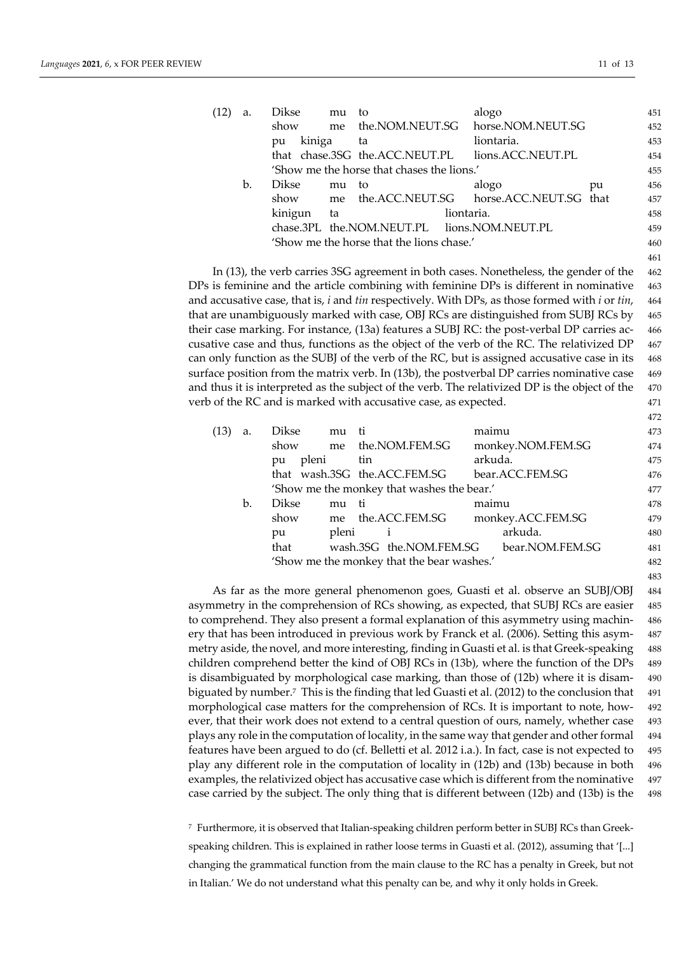| (12 | a. | <b>Dikse</b>                               | mu | to                                          | alogo                                  |    | 451 |
|-----|----|--------------------------------------------|----|---------------------------------------------|----------------------------------------|----|-----|
|     |    | show                                       | me |                                             | the.NOM.NEUT.SG horse.NOM.NEUT.SG      |    | 452 |
|     |    | kiniga<br>pu                               |    | ta                                          | liontaria.                             |    | 453 |
|     |    |                                            |    | that chase.3SG the.ACC.NEUT.PL              | lions.ACC.NEUT.PL                      |    | 454 |
|     |    | 'Show me the horse that chases the lions.' |    |                                             |                                        |    |     |
|     | b. | Dikse                                      | mu | to                                          | alogo                                  | pu | 456 |
|     |    | show                                       | me |                                             | the.ACC.NEUT.SG horse.ACC.NEUT.SG that |    | 457 |
|     |    | kinigun                                    | ta |                                             | liontaria.                             |    | 458 |
|     |    |                                            |    | chase.3PL the.NOM.NEUT.PL lions.NOM.NEUT.PL |                                        |    | 459 |
|     |    | 'Show me the horse that the lions chase.'  |    |                                             |                                        |    |     |
|     |    |                                            |    |                                             |                                        |    | 461 |

In (13), the verb carries 3SG agreement in both cases. Nonetheless, the gender of the 462 DPs is feminine and the article combining with feminine DPs is different in nominative 463 and accusative case, that is, *i* and *tin* respectively. With DPs, as those formed with *i* or *tin*, 464 that are unambiguously marked with case, OBJ RCs are distinguished from SUBJ RCs by 465 their case marking. For instance, (13a) features a SUBJ RC: the post-verbal DP carries ac- 466 cusative case and thus, functions as the object of the verb of the RC. The relativized DP 467 can only function as the SUBJ of the verb of the RC, but is assigned accusative case in its 468 surface position from the matrix verb. In (13b), the postverbal DP carries nominative case 469 and thus it is interpreted as the subject of the verb. The relativized DP is the object of the 470 verb of the RC and is marked with accusative case, as expected. 471

| (13) | a.             | Dikse                                      | mu    | ti                           | maimu             | 473 |
|------|----------------|--------------------------------------------|-------|------------------------------|-------------------|-----|
|      |                | show                                       |       | me the.NOM.FEM.SG            | monkey.NOM.FEM.SG | 474 |
|      |                | pleni<br>pu                                |       | tin                          | arkuda.           | 475 |
|      |                |                                            |       | that wash.3SG the.ACC.FEM.SG | bear.ACC.FEM.SG   | 476 |
|      |                | 'Show me the monkey that washes the bear.' |       |                              |                   |     |
|      | $\mathbf{b}$ . | <b>Dikse</b>                               | mu    | - ti                         | maimu             | 478 |
|      |                | show                                       |       | me the.ACC.FEM.SG            | monkey.ACC.FEM.SG | 479 |
|      |                | pu                                         | pleni | 1                            | arkuda.           | 480 |
|      |                | that                                       |       | wash.3SG the.NOM.FEM.SG      | bear.NOM.FEM.SG   | 481 |
|      |                | 'Show me the monkey that the bear washes.' |       |                              |                   |     |
|      |                |                                            |       |                              |                   | 483 |

As far as the more general phenomenon goes, Guasti et al. observe an SUBJ/OBJ 484 asymmetry in the comprehension of RCs showing, as expected, that SUBJ RCs are easier 485 to comprehend. They also present a formal explanation of this asymmetry using machin- 486 ery that has been introduced in previous work by Franck et al. (2006). Setting this asym- 487 metry aside, the novel, and more interesting, finding in Guasti et al. is that Greek-speaking 488 children comprehend better the kind of OBJ RCs in (13b), where the function of the DPs 489 is disambiguated by morphological case marking, than those of (12b) where it is disam- 490 biguated by number.<sup>7</sup> This is the finding that led Guasti et al. (2012) to the conclusion that 491 morphological case matters for the comprehension of RCs. It is important to note, how- 492 ever, that their work does not extend to a central question of ours, namely, whether case 493 plays any role in the computation of locality, in the same way that gender and other formal 494 features have been argued to do (cf. Belletti et al. 2012 i.a.). In fact, case is not expected to 495 play any different role in the computation of locality in (12b) and (13b) because in both 496 examples, the relativized object has accusative case which is different from the nominative 497 case carried by the subject. The only thing that is different between (12b) and (13b) is the 498

<sup>7</sup> Furthermore, it is observed that Italian-speaking children perform better in SUBJ RCs than Greekspeaking children. This is explained in rather loose terms in Guasti et al. (2012), assuming that '[...] changing the grammatical function from the main clause to the RC has a penalty in Greek, but not in Italian.' We do not understand what this penalty can be, and why it only holds in Greek.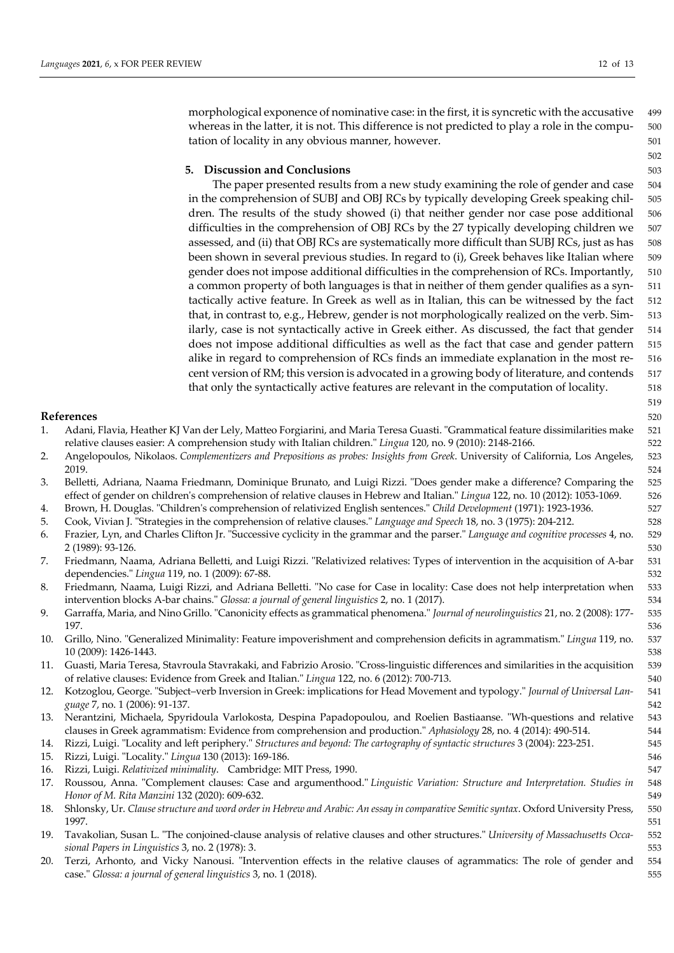morphological exponence of nominative case: in the first, it is syncretic with the accusative 499 whereas in the latter, it is not. This difference is not predicted to play a role in the compu- 500 tation of locality in any obvious manner, however.  $501$ 

#### **5. Discussion and Conclusions** 503

The paper presented results from a new study examining the role of gender and case 504 in the comprehension of SUBJ and OBJ RCs by typically developing Greek speaking chil- 505 dren. The results of the study showed (i) that neither gender nor case pose additional 506 difficulties in the comprehension of OBJ RCs by the 27 typically developing children we 507 assessed, and (ii) that OBJ RCs are systematically more difficult than SUBJ RCs, just as has 508 been shown in several previous studies. In regard to (i), Greek behaves like Italian where 509 gender does not impose additional difficulties in the comprehension of RCs. Importantly, 510 a common property of both languages is that in neither of them gender qualifies as a syn- 511 tactically active feature. In Greek as well as in Italian, this can be witnessed by the fact 512 that, in contrast to, e.g., Hebrew, gender is not morphologically realized on the verb. Sim- 513 ilarly, case is not syntactically active in Greek either. As discussed, the fact that gender 514 does not impose additional difficulties as well as the fact that case and gender pattern 515 alike in regard to comprehension of RCs finds an immediate explanation in the most re- 516 cent version of RM; this version is advocated in a growing body of literature, and contends 517 that only the syntactically active features are relevant in the computation of locality. 518

# **References** 520

| Adani, Flavia, Heather KJ Van der Lely, Matteo Forgiarini, and Maria Teresa Guasti. "Grammatical feature dissimilarities make 521 |     |
|-----------------------------------------------------------------------------------------------------------------------------------|-----|
| relative clauses easier: A comprehension study with Italian children." Lingua 120, no. 9 (2010): 2148-2166.                       | 522 |

- 2. Angelopoulos, Nikolaos. *Complementizers and Prepositions as probes: Insights from Greek*. University of California, Los Angeles, 523 2019. **Samuel State State State State State State State State State State State State State State State State St**
- 3. Belletti, Adriana, Naama Friedmann, Dominique Brunato, and Luigi Rizzi. "Does gender make a difference? Comparing the 525 effect of gender on children's comprehension of relative clauses in Hebrew and Italian." *Lingua* 122, no. 10 (2012): 1053-1069. 526
- 4. Brown, H. Douglas. "Children's comprehension of relativized English sentences." *Child Development* (1971): 1923-1936. 527
- 5. Cook, Vivian J. "Strategies in the comprehension of relative clauses." *Language and Speech* 18, no. 3 (1975): 204-212. 528
- 6. Frazier, Lyn, and Charles Clifton Jr. "Successive cyclicity in the grammar and the parser." *Language and cognitive processes* 4, no. 529 2 (1989): 93-126. 530
- 7. Friedmann, Naama, Adriana Belletti, and Luigi Rizzi. "Relativized relatives: Types of intervention in the acquisition of A-bar 531 dependencies." *Lingua* 119, no. 1 (2009): 67-88. 532
- 8. Friedmann, Naama, Luigi Rizzi, and Adriana Belletti. "No case for Case in locality: Case does not help interpretation when 533 intervention blocks A-bar chains." *Glossa: a journal of general linguistics* 2, no. 1 (2017). 534
- 9. Garraffa, Maria, and Nino Grillo. "Canonicity effects as grammatical phenomena." *Journal of neurolinguistics* 21, no. 2 (2008): 177- 535 197. 536
- 10. Grillo, Nino. "Generalized Minimality: Feature impoverishment and comprehension deficits in agrammatism." *Lingua* 119, no. 537 10 (2009): 1426-1443. 538
- 11. Guasti, Maria Teresa, Stavroula Stavrakaki, and Fabrizio Arosio. "Cross-linguistic differences and similarities in the acquisition 539 of relative clauses: Evidence from Greek and Italian." *Lingua* 122, no. 6 (2012): 700-713. 540
- 12. Kotzoglou, George. "Subject–verb Inversion in Greek: implications for Head Movement and typology." *Journal of Universal Lan-* 541 *guage* 7, no. 1 (2006): 91-137. 542
- 13. Nerantzini, Michaela, Spyridoula Varlokosta, Despina Papadopoulou, and Roelien Bastiaanse. "Wh-questions and relative 543 clauses in Greek agrammatism: Evidence from comprehension and production." *Aphasiology* 28, no. 4 (2014): 490-514. 544
- 14. Rizzi, Luigi. "Locality and left periphery." *Structures and beyond: The cartography of syntactic structures* 3 (2004): 223-251. 545
- 15. Rizzi, Luigi. "Locality." *Lingua* 130 (2013): 169-186. 546
- 16. Rizzi, Luigi. *Relativized minimality*. Cambridge: MIT Press, 1990. 547
- 17. Roussou, Anna. "Complement clauses: Case and argumenthood." *Linguistic Variation: Structure and Interpretation. Studies in* 548 *Honor of M. Rita Manzini* 132 (2020): 609-632. 549
- 18. Shlonsky, Ur. *Clause structure and word order in Hebrew and Arabic: An essay in comparative Semitic syntax*. Oxford University Press, 550 1997. 551
- 19. Tavakolian, Susan L. "The conjoined-clause analysis of relative clauses and other structures." *University of Massachusetts Occa-* 552 *sional Papers in Linguistics* 3, no. 2 (1978): 3.  $\frac{1}{2}$  553
- 20. Terzi, Arhonto, and Vicky Nanousi. "Intervention effects in the relative clauses of agrammatics: The role of gender and 554 case." *Glossa: a journal of general linguistics* 3, no. 1 (2018). 555